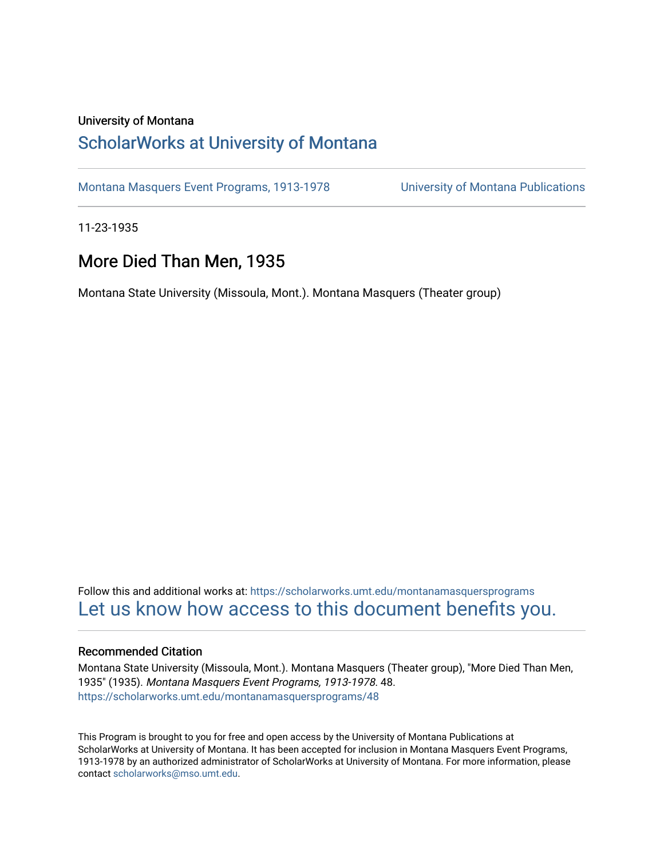#### University of Montana

### [ScholarWorks at University of Montana](https://scholarworks.umt.edu/)

[Montana Masquers Event Programs, 1913-1978](https://scholarworks.umt.edu/montanamasquersprograms) [University of Montana Publications](https://scholarworks.umt.edu/umpubs) 

11-23-1935

### More Died Than Men, 1935

Montana State University (Missoula, Mont.). Montana Masquers (Theater group)

Follow this and additional works at: [https://scholarworks.umt.edu/montanamasquersprograms](https://scholarworks.umt.edu/montanamasquersprograms?utm_source=scholarworks.umt.edu%2Fmontanamasquersprograms%2F48&utm_medium=PDF&utm_campaign=PDFCoverPages) [Let us know how access to this document benefits you.](https://goo.gl/forms/s2rGfXOLzz71qgsB2) 

#### Recommended Citation

Montana State University (Missoula, Mont.). Montana Masquers (Theater group), "More Died Than Men, 1935" (1935). Montana Masquers Event Programs, 1913-1978. 48. [https://scholarworks.umt.edu/montanamasquersprograms/48](https://scholarworks.umt.edu/montanamasquersprograms/48?utm_source=scholarworks.umt.edu%2Fmontanamasquersprograms%2F48&utm_medium=PDF&utm_campaign=PDFCoverPages) 

This Program is brought to you for free and open access by the University of Montana Publications at ScholarWorks at University of Montana. It has been accepted for inclusion in Montana Masquers Event Programs, 1913-1978 by an authorized administrator of ScholarWorks at University of Montana. For more information, please contact [scholarworks@mso.umt.edu](mailto:scholarworks@mso.umt.edu).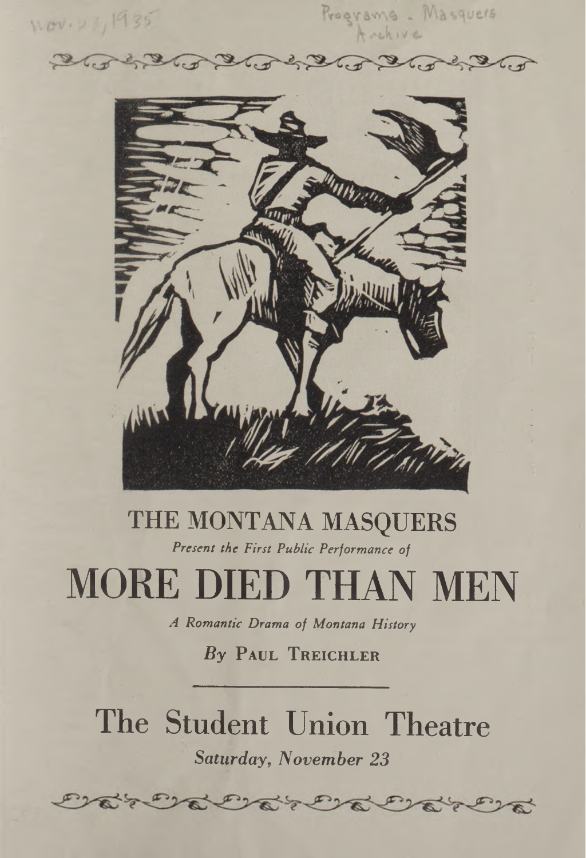Wov. 23, 1935

Programs - Masquers

 $x^2x$  $\tau_{ext}$ 



# THE MONTANA MASQUERS

*Present the First Public Performance of*

# MORE DIED THAN MEN

*A Romantic Drama of Montana History*

## *By* **Paul Treichler**

## The Student Union Theatre *Saturday, November 23*